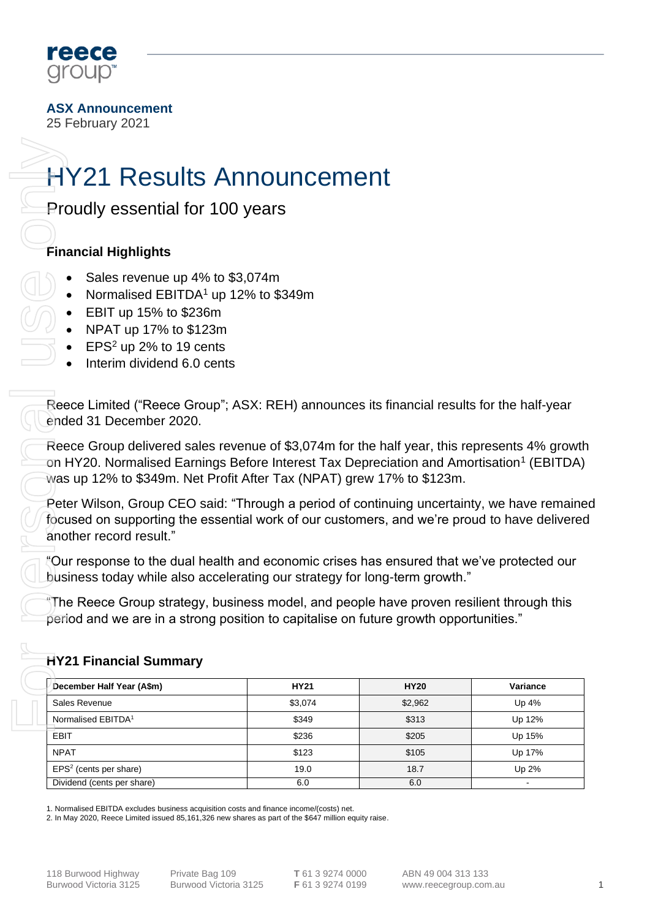

**ASX Announcement**

25 February 2021

# HY21 Results Announcement

## **Financial Highlights**

- Sales revenue up 4% to \$3,074m
- Normalised EBITDA<sup>1</sup> up 12% to \$349m
- EBIT up 15% to \$236m
- NPAT up 17% to \$123m
- $EPS<sup>2</sup>$  up 2% to 19 cents
- Interim dividend 6.0 cents

## **HY21 Financial Summary**

| <b>Proudly essential for 100 years</b>                                                                                                                                                                                                                                        |             |             |          |
|-------------------------------------------------------------------------------------------------------------------------------------------------------------------------------------------------------------------------------------------------------------------------------|-------------|-------------|----------|
|                                                                                                                                                                                                                                                                               |             |             |          |
| <b>Financial Highlights</b>                                                                                                                                                                                                                                                   |             |             |          |
| Sales revenue up 4% to \$3,074m<br>Normalised EBITDA <sup>1</sup> up 12% to \$349m<br>EBIT up 15% to \$236m<br>NPAT up 17% to \$123m<br>EPS <sup>2</sup> up 2% to 19 cents<br>Interim dividend 6.0 cents                                                                      |             |             |          |
| Reece Limited ("Reece Group"; ASX: REH) announces its financial results for the half-year<br>ended 31 December 2020.                                                                                                                                                          |             |             |          |
| Reece Group delivered sales revenue of \$3,074m for the half year, this represents 4% growth<br>on HY20. Normalised Earnings Before Interest Tax Depreciation and Amortisation <sup>1</sup> (EBITDA)<br>was up 12% to \$349m. Net Profit After Tax (NPAT) grew 17% to \$123m. |             |             |          |
| Peter Wilson, Group CEO said: "Through a period of continuing uncertainty, we have remaine<br>focused on supporting the essential work of our customers, and we're proud to have delivered<br>another record result."                                                         |             |             |          |
| "Our response to the dual health and economic crises has ensured that we've protected our<br>business today while also accelerating our strategy for long-term growth."                                                                                                       |             |             |          |
| The Reece Group strategy, business model, and people have proven resilient through this<br>period and we are in a strong position to capitalise on future growth opportunities."<br><b>HY21 Financial Summary</b>                                                             |             |             |          |
| December Half Year (A\$m)                                                                                                                                                                                                                                                     | <b>HY21</b> | <b>HY20</b> | Variance |
| Sales Revenue                                                                                                                                                                                                                                                                 | \$3,074     | \$2,962     | Up 4%    |
| Normalised EBITDA <sup>1</sup>                                                                                                                                                                                                                                                | \$349       | \$313       | Up 12%   |
| <b>EBIT</b>                                                                                                                                                                                                                                                                   | \$236       | \$205       | Up 15%   |
|                                                                                                                                                                                                                                                                               |             | \$105       | Up 17%   |
| <b>NPAT</b>                                                                                                                                                                                                                                                                   | \$123       |             |          |
| $EPS2$ (cents per share)                                                                                                                                                                                                                                                      | 19.0        | 18.7        | Up 2%    |